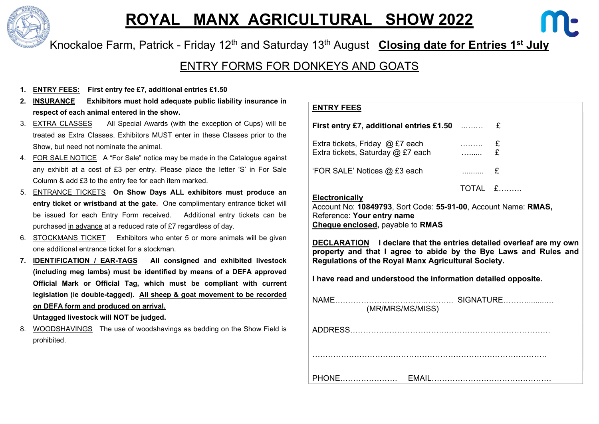

# ROYAL MANX AGRICULTURAL SHOW 2022



### ENTRY FORMS FOR DONKEYS AND GOATS

- 1. ENTRY FEES: First entry fee £7, additional entries £1.50
- 2. INSURANCE Exhibitors must hold adequate public liability insurance in respect of each animal entered in the show.
- 3. EXTRA CLASSES All Special Awards (with the exception of Cups) will be treated as Extra Classes. Exhibitors MUST enter in these Classes prior to the Show, but need not nominate the animal.
- 4. FOR SALE NOTICE A "For Sale" notice may be made in the Catalogue against any exhibit at a cost of £3 per entry. Please place the letter 'S' in For Sale Column & add £3 to the entry fee for each item marked.
- 5. ENTRANCE TICKETS On Show Days ALL exhibitors must produce an entry ticket or wristband at the gate. One complimentary entrance ticket will be issued for each Entry Form received. Additional entry tickets can be purchased in advance at a reduced rate of £7 regardless of day.
- 6. STOCKMANS TICKET Exhibitors who enter 5 or more animals will be given one additional entrance ticket for a stockman.
- 7. IDENTIFICATION / EAR-TAGS All consigned and exhibited livestock (including meg lambs) must be identified by means of a DEFA approved Official Mark or Official Tag, which must be compliant with current legislation (ie double-tagged). All sheep & goat movement to be recorded on DEFA form and produced on arrival.

Untagged livestock will NOT be judged.

8. WOODSHAVINGS The use of woodshavings as bedding on the Show Field is prohibited.

#### ENTRY FEES

| <b>First entry £7, additional entries £1.50</b>                                              |     | £       |  |  |  |  |  |  |
|----------------------------------------------------------------------------------------------|-----|---------|--|--|--|--|--|--|
| Extra tickets, Friday $@$ £7 each<br>Extra tickets, Saturday @ £7 each                       | . E | £       |  |  |  |  |  |  |
| 'FOR SALE' Notices @ £3 each                                                                 | . £ |         |  |  |  |  |  |  |
| <b>Electronically</b>                                                                        |     | TOTAL £ |  |  |  |  |  |  |
| Account No: 10849793, Sort Code: 55-91-00, Account Name: RMAS,<br>Reference: Your entry name |     |         |  |  |  |  |  |  |

Cheque enclosed, payable to RMAS

DECLARATION I declare that the entries detailed overleaf are my own property and that I agree to abide by the Bye Laws and Rules and Regulations of the Royal Manx Agricultural Society.

I have read and understood the information detailed opposite.

| NAME.<br>(MR/MRS/MS/MISS) | SIGNATURE |
|---------------------------|-----------|
|                           |           |
|                           |           |
| PHONE                     |           |